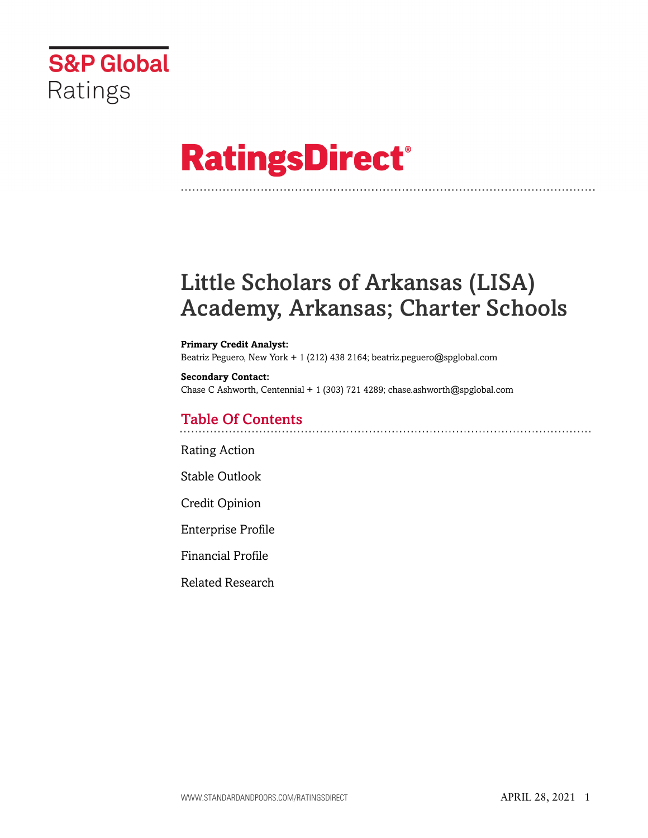

# **RatingsDirect®**

# Little Scholars of Arkansas (LISA) Academy, Arkansas; Charter Schools

#### **Primary Credit Analyst:**

Beatriz Peguero, New York + 1 (212) 438 2164; beatriz.peguero@spglobal.com

# **Secondary Contact:** Chase C Ashworth, Centennial + 1 (303) 721 4289; chase.ashworth@spglobal.com

# Table Of Contents

[Rating Action](#page-1-0)

[Stable Outlook](#page-3-0)

[Credit Opinion](#page-3-1)

[Enterprise Profile](#page-3-2)

[Financial Profile](#page-5-0)

[Related Research](#page-8-0)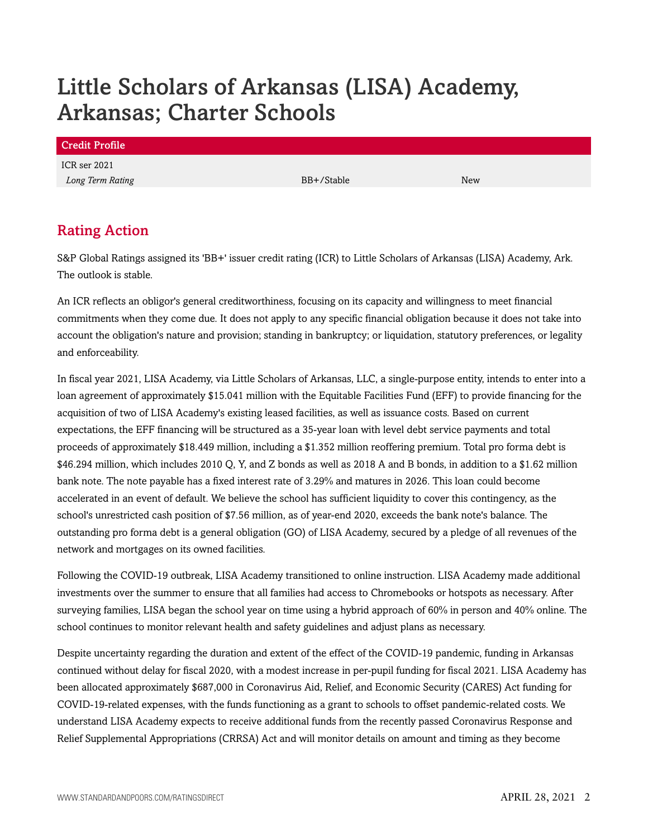# Little Scholars of Arkansas (LISA) Academy, Arkansas; Charter Schools

| <b>Credit Profile</b> |            |            |
|-----------------------|------------|------------|
| ICR ser 2021          |            |            |
| Long Term Rating      | BB+/Stable | <b>New</b> |
|                       |            |            |

# <span id="page-1-0"></span>Rating Action

S&P Global Ratings assigned its 'BB+' issuer credit rating (ICR) to Little Scholars of Arkansas (LISA) Academy, Ark. The outlook is stable.

An ICR reflects an obligor's general creditworthiness, focusing on its capacity and willingness to meet financial commitments when they come due. It does not apply to any specific financial obligation because it does not take into account the obligation's nature and provision; standing in bankruptcy; or liquidation, statutory preferences, or legality and enforceability.

In fiscal year 2021, LISA Academy, via Little Scholars of Arkansas, LLC, a single-purpose entity, intends to enter into a loan agreement of approximately \$15.041 million with the Equitable Facilities Fund (EFF) to provide financing for the acquisition of two of LISA Academy's existing leased facilities, as well as issuance costs. Based on current expectations, the EFF financing will be structured as a 35-year loan with level debt service payments and total proceeds of approximately \$18.449 million, including a \$1.352 million reoffering premium. Total pro forma debt is \$46.294 million, which includes 2010 Q, Y, and Z bonds as well as 2018 A and B bonds, in addition to a \$1.62 million bank note. The note payable has a fixed interest rate of 3.29% and matures in 2026. This loan could become accelerated in an event of default. We believe the school has sufficient liquidity to cover this contingency, as the school's unrestricted cash position of \$7.56 million, as of year-end 2020, exceeds the bank note's balance. The outstanding pro forma debt is a general obligation (GO) of LISA Academy, secured by a pledge of all revenues of the network and mortgages on its owned facilities.

Following the COVID-19 outbreak, LISA Academy transitioned to online instruction. LISA Academy made additional investments over the summer to ensure that all families had access to Chromebooks or hotspots as necessary. After surveying families, LISA began the school year on time using a hybrid approach of 60% in person and 40% online. The school continues to monitor relevant health and safety guidelines and adjust plans as necessary.

Despite uncertainty regarding the duration and extent of the effect of the COVID-19 pandemic, funding in Arkansas continued without delay for fiscal 2020, with a modest increase in per-pupil funding for fiscal 2021. LISA Academy has been allocated approximately \$687,000 in Coronavirus Aid, Relief, and Economic Security (CARES) Act funding for COVID-19-related expenses, with the funds functioning as a grant to schools to offset pandemic-related costs. We understand LISA Academy expects to receive additional funds from the recently passed Coronavirus Response and Relief Supplemental Appropriations (CRRSA) Act and will monitor details on amount and timing as they become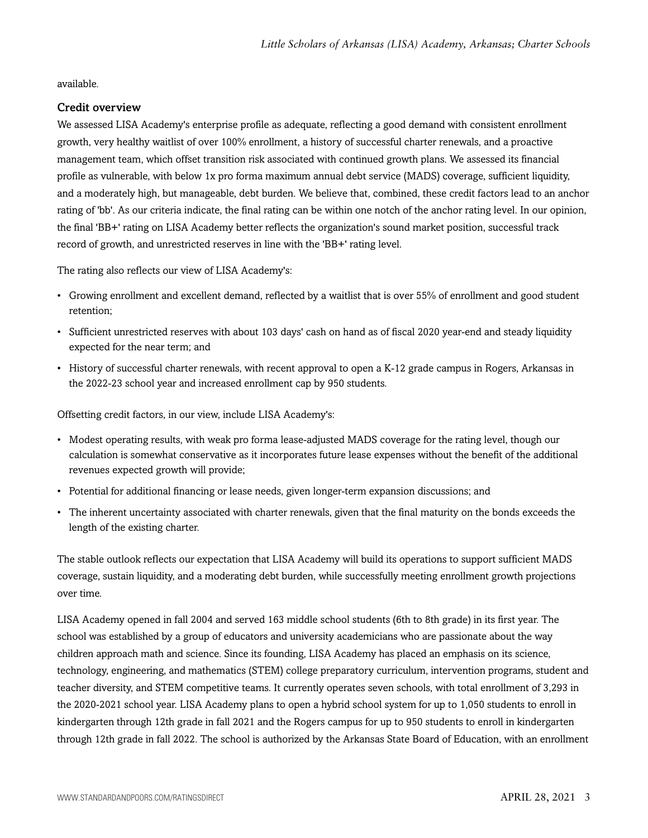available.

# Credit overview

We assessed LISA Academy's enterprise profile as adequate, reflecting a good demand with consistent enrollment growth, very healthy waitlist of over 100% enrollment, a history of successful charter renewals, and a proactive management team, which offset transition risk associated with continued growth plans. We assessed its financial profile as vulnerable, with below 1x pro forma maximum annual debt service (MADS) coverage, sufficient liquidity, and a moderately high, but manageable, debt burden. We believe that, combined, these credit factors lead to an anchor rating of 'bb'. As our criteria indicate, the final rating can be within one notch of the anchor rating level. In our opinion, the final 'BB+' rating on LISA Academy better reflects the organization's sound market position, successful track record of growth, and unrestricted reserves in line with the 'BB+' rating level.

The rating also reflects our view of LISA Academy's:

- Growing enrollment and excellent demand, reflected by a waitlist that is over 55% of enrollment and good student retention;
- Sufficient unrestricted reserves with about 103 days' cash on hand as of fiscal 2020 year-end and steady liquidity expected for the near term; and
- History of successful charter renewals, with recent approval to open a K-12 grade campus in Rogers, Arkansas in the 2022-23 school year and increased enrollment cap by 950 students.

Offsetting credit factors, in our view, include LISA Academy's:

- Modest operating results, with weak pro forma lease-adjusted MADS coverage for the rating level, though our calculation is somewhat conservative as it incorporates future lease expenses without the benefit of the additional revenues expected growth will provide;
- Potential for additional financing or lease needs, given longer-term expansion discussions; and
- The inherent uncertainty associated with charter renewals, given that the final maturity on the bonds exceeds the length of the existing charter.

The stable outlook reflects our expectation that LISA Academy will build its operations to support sufficient MADS coverage, sustain liquidity, and a moderating debt burden, while successfully meeting enrollment growth projections over time.

LISA Academy opened in fall 2004 and served 163 middle school students (6th to 8th grade) in its first year. The school was established by a group of educators and university academicians who are passionate about the way children approach math and science. Since its founding, LISA Academy has placed an emphasis on its science, technology, engineering, and mathematics (STEM) college preparatory curriculum, intervention programs, student and teacher diversity, and STEM competitive teams. It currently operates seven schools, with total enrollment of 3,293 in the 2020-2021 school year. LISA Academy plans to open a hybrid school system for up to 1,050 students to enroll in kindergarten through 12th grade in fall 2021 and the Rogers campus for up to 950 students to enroll in kindergarten through 12th grade in fall 2022. The school is authorized by the Arkansas State Board of Education, with an enrollment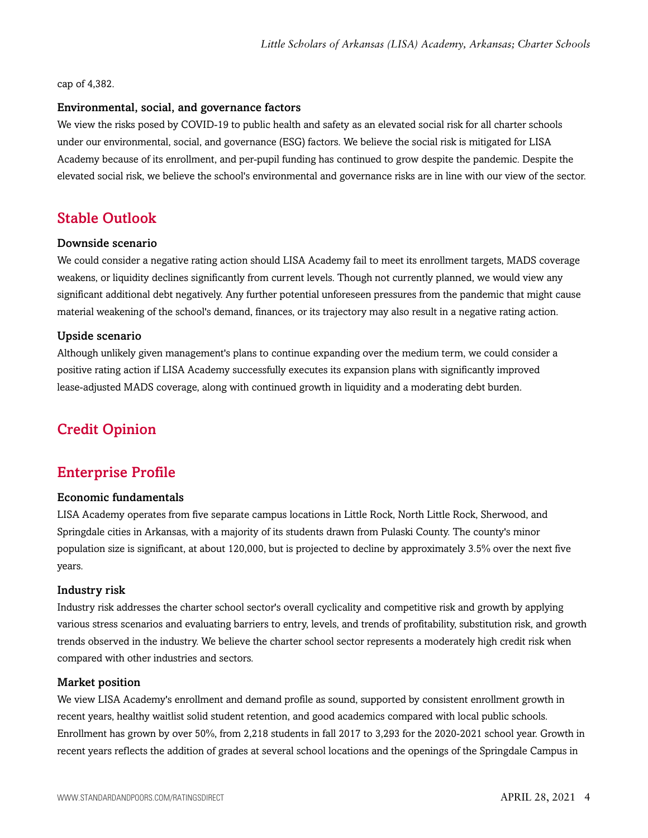#### cap of 4,382.

## Environmental, social, and governance factors

We view the risks posed by COVID-19 to public health and safety as an elevated social risk for all charter schools under our environmental, social, and governance (ESG) factors. We believe the social risk is mitigated for LISA Academy because of its enrollment, and per-pupil funding has continued to grow despite the pandemic. Despite the elevated social risk, we believe the school's environmental and governance risks are in line with our view of the sector.

# <span id="page-3-0"></span>Stable Outlook

# Downside scenario

We could consider a negative rating action should LISA Academy fail to meet its enrollment targets, MADS coverage weakens, or liquidity declines significantly from current levels. Though not currently planned, we would view any significant additional debt negatively. Any further potential unforeseen pressures from the pandemic that might cause material weakening of the school's demand, finances, or its trajectory may also result in a negative rating action.

# Upside scenario

Although unlikely given management's plans to continue expanding over the medium term, we could consider a positive rating action if LISA Academy successfully executes its expansion plans with significantly improved lease-adjusted MADS coverage, along with continued growth in liquidity and a moderating debt burden.

# <span id="page-3-2"></span><span id="page-3-1"></span>Credit Opinion

# Enterprise Profile

## Economic fundamentals

LISA Academy operates from five separate campus locations in Little Rock, North Little Rock, Sherwood, and Springdale cities in Arkansas, with a majority of its students drawn from Pulaski County. The county's minor population size is significant, at about 120,000, but is projected to decline by approximately 3.5% over the next five years.

## Industry risk

Industry risk addresses the charter school sector's overall cyclicality and competitive risk and growth by applying various stress scenarios and evaluating barriers to entry, levels, and trends of profitability, substitution risk, and growth trends observed in the industry. We believe the charter school sector represents a moderately high credit risk when compared with other industries and sectors.

## Market position

We view LISA Academy's enrollment and demand profile as sound, supported by consistent enrollment growth in recent years, healthy waitlist solid student retention, and good academics compared with local public schools. Enrollment has grown by over 50%, from 2,218 students in fall 2017 to 3,293 for the 2020-2021 school year. Growth in recent years reflects the addition of grades at several school locations and the openings of the Springdale Campus in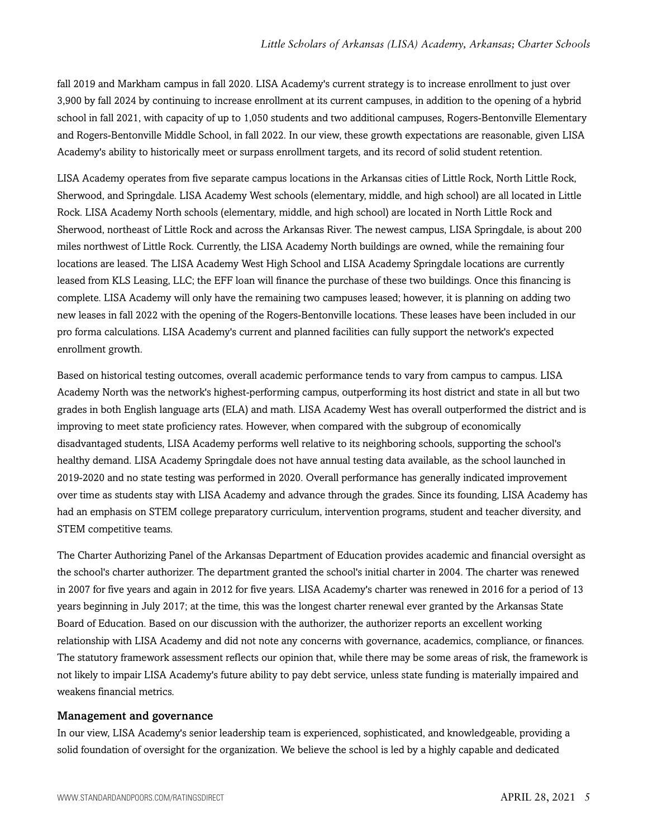fall 2019 and Markham campus in fall 2020. LISA Academy's current strategy is to increase enrollment to just over 3,900 by fall 2024 by continuing to increase enrollment at its current campuses, in addition to the opening of a hybrid school in fall 2021, with capacity of up to 1,050 students and two additional campuses, Rogers-Bentonville Elementary and Rogers-Bentonville Middle School, in fall 2022. In our view, these growth expectations are reasonable, given LISA Academy's ability to historically meet or surpass enrollment targets, and its record of solid student retention.

LISA Academy operates from five separate campus locations in the Arkansas cities of Little Rock, North Little Rock, Sherwood, and Springdale. LISA Academy West schools (elementary, middle, and high school) are all located in Little Rock. LISA Academy North schools (elementary, middle, and high school) are located in North Little Rock and Sherwood, northeast of Little Rock and across the Arkansas River. The newest campus, LISA Springdale, is about 200 miles northwest of Little Rock. Currently, the LISA Academy North buildings are owned, while the remaining four locations are leased. The LISA Academy West High School and LISA Academy Springdale locations are currently leased from KLS Leasing, LLC; the EFF loan will finance the purchase of these two buildings. Once this financing is complete. LISA Academy will only have the remaining two campuses leased; however, it is planning on adding two new leases in fall 2022 with the opening of the Rogers-Bentonville locations. These leases have been included in our pro forma calculations. LISA Academy's current and planned facilities can fully support the network's expected enrollment growth.

Based on historical testing outcomes, overall academic performance tends to vary from campus to campus. LISA Academy North was the network's highest-performing campus, outperforming its host district and state in all but two grades in both English language arts (ELA) and math. LISA Academy West has overall outperformed the district and is improving to meet state proficiency rates. However, when compared with the subgroup of economically disadvantaged students, LISA Academy performs well relative to its neighboring schools, supporting the school's healthy demand. LISA Academy Springdale does not have annual testing data available, as the school launched in 2019-2020 and no state testing was performed in 2020. Overall performance has generally indicated improvement over time as students stay with LISA Academy and advance through the grades. Since its founding, LISA Academy has had an emphasis on STEM college preparatory curriculum, intervention programs, student and teacher diversity, and STEM competitive teams.

The Charter Authorizing Panel of the Arkansas Department of Education provides academic and financial oversight as the school's charter authorizer. The department granted the school's initial charter in 2004. The charter was renewed in 2007 for five years and again in 2012 for five years. LISA Academy's charter was renewed in 2016 for a period of 13 years beginning in July 2017; at the time, this was the longest charter renewal ever granted by the Arkansas State Board of Education. Based on our discussion with the authorizer, the authorizer reports an excellent working relationship with LISA Academy and did not note any concerns with governance, academics, compliance, or finances. The statutory framework assessment reflects our opinion that, while there may be some areas of risk, the framework is not likely to impair LISA Academy's future ability to pay debt service, unless state funding is materially impaired and weakens financial metrics.

## Management and governance

In our view, LISA Academy's senior leadership team is experienced, sophisticated, and knowledgeable, providing a solid foundation of oversight for the organization. We believe the school is led by a highly capable and dedicated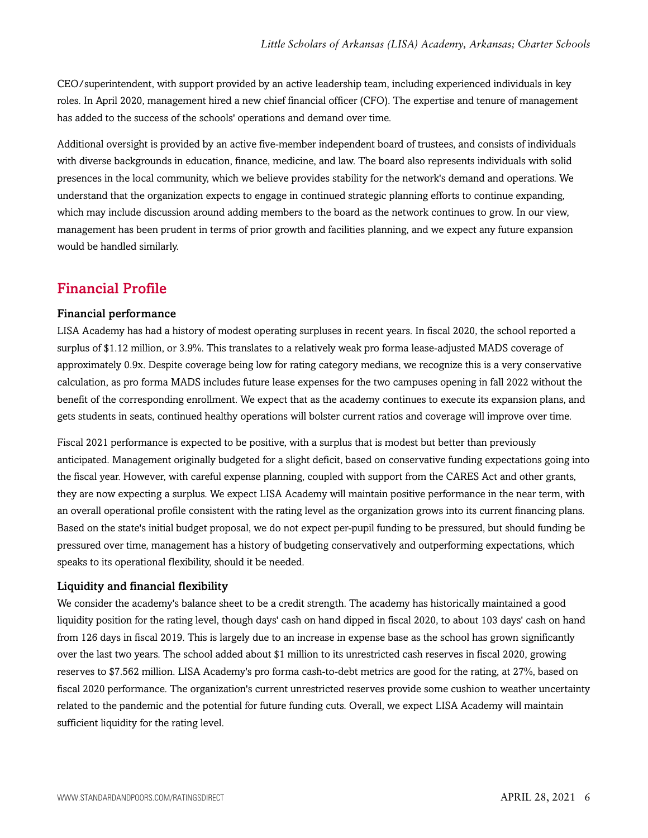CEO/superintendent, with support provided by an active leadership team, including experienced individuals in key roles. In April 2020, management hired a new chief financial officer (CFO). The expertise and tenure of management has added to the success of the schools' operations and demand over time.

Additional oversight is provided by an active five-member independent board of trustees, and consists of individuals with diverse backgrounds in education, finance, medicine, and law. The board also represents individuals with solid presences in the local community, which we believe provides stability for the network's demand and operations. We understand that the organization expects to engage in continued strategic planning efforts to continue expanding, which may include discussion around adding members to the board as the network continues to grow. In our view, management has been prudent in terms of prior growth and facilities planning, and we expect any future expansion would be handled similarly.

# <span id="page-5-0"></span>Financial Profile

# Financial performance

LISA Academy has had a history of modest operating surpluses in recent years. In fiscal 2020, the school reported a surplus of \$1.12 million, or 3.9%. This translates to a relatively weak pro forma lease-adjusted MADS coverage of approximately 0.9x. Despite coverage being low for rating category medians, we recognize this is a very conservative calculation, as pro forma MADS includes future lease expenses for the two campuses opening in fall 2022 without the benefit of the corresponding enrollment. We expect that as the academy continues to execute its expansion plans, and gets students in seats, continued healthy operations will bolster current ratios and coverage will improve over time.

Fiscal 2021 performance is expected to be positive, with a surplus that is modest but better than previously anticipated. Management originally budgeted for a slight deficit, based on conservative funding expectations going into the fiscal year. However, with careful expense planning, coupled with support from the CARES Act and other grants, they are now expecting a surplus. We expect LISA Academy will maintain positive performance in the near term, with an overall operational profile consistent with the rating level as the organization grows into its current financing plans. Based on the state's initial budget proposal, we do not expect per-pupil funding to be pressured, but should funding be pressured over time, management has a history of budgeting conservatively and outperforming expectations, which speaks to its operational flexibility, should it be needed.

## Liquidity and financial flexibility

We consider the academy's balance sheet to be a credit strength. The academy has historically maintained a good liquidity position for the rating level, though days' cash on hand dipped in fiscal 2020, to about 103 days' cash on hand from 126 days in fiscal 2019. This is largely due to an increase in expense base as the school has grown significantly over the last two years. The school added about \$1 million to its unrestricted cash reserves in fiscal 2020, growing reserves to \$7.562 million. LISA Academy's pro forma cash-to-debt metrics are good for the rating, at 27%, based on fiscal 2020 performance. The organization's current unrestricted reserves provide some cushion to weather uncertainty related to the pandemic and the potential for future funding cuts. Overall, we expect LISA Academy will maintain sufficient liquidity for the rating level.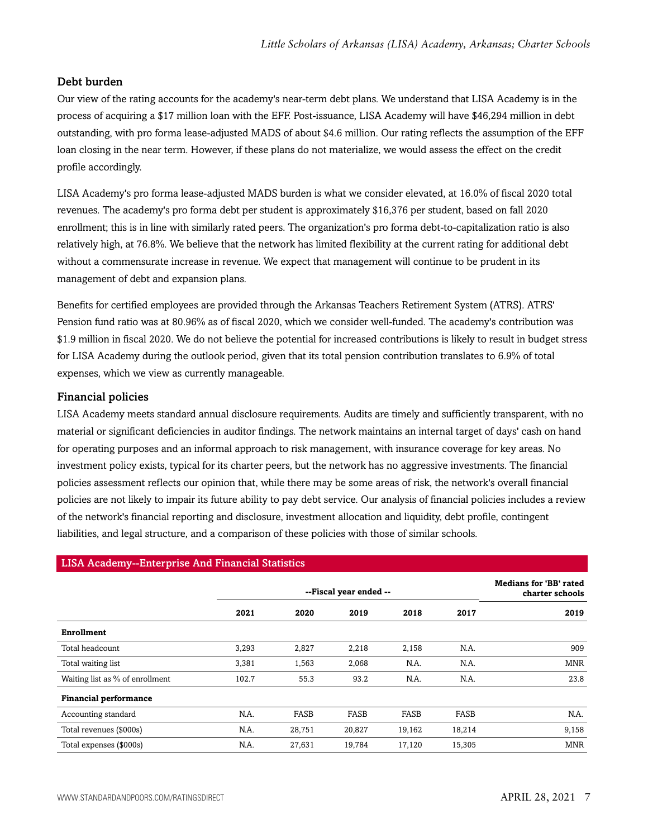# Debt burden

Our view of the rating accounts for the academy's near-term debt plans. We understand that LISA Academy is in the process of acquiring a \$17 million loan with the EFF. Post-issuance, LISA Academy will have \$46,294 million in debt outstanding, with pro forma lease-adjusted MADS of about \$4.6 million. Our rating reflects the assumption of the EFF loan closing in the near term. However, if these plans do not materialize, we would assess the effect on the credit profile accordingly.

LISA Academy's pro forma lease-adjusted MADS burden is what we consider elevated, at 16.0% of fiscal 2020 total revenues. The academy's pro forma debt per student is approximately \$16,376 per student, based on fall 2020 enrollment; this is in line with similarly rated peers. The organization's pro forma debt-to-capitalization ratio is also relatively high, at 76.8%. We believe that the network has limited flexibility at the current rating for additional debt without a commensurate increase in revenue. We expect that management will continue to be prudent in its management of debt and expansion plans.

Benefits for certified employees are provided through the Arkansas Teachers Retirement System (ATRS). ATRS' Pension fund ratio was at 80.96% as of fiscal 2020, which we consider well-funded. The academy's contribution was \$1.9 million in fiscal 2020. We do not believe the potential for increased contributions is likely to result in budget stress for LISA Academy during the outlook period, given that its total pension contribution translates to 6.9% of total expenses, which we view as currently manageable.

# Financial policies

LISA Academy meets standard annual disclosure requirements. Audits are timely and sufficiently transparent, with no material or significant deficiencies in auditor findings. The network maintains an internal target of days' cash on hand for operating purposes and an informal approach to risk management, with insurance coverage for key areas. No investment policy exists, typical for its charter peers, but the network has no aggressive investments. The financial policies assessment reflects our opinion that, while there may be some areas of risk, the network's overall financial policies are not likely to impair its future ability to pay debt service. Our analysis of financial policies includes a review of the network's financial reporting and disclosure, investment allocation and liquidity, debt profile, contingent liabilities, and legal structure, and a comparison of these policies with those of similar schools.

| LISA Academy--Enterprise And Financial Statistics |       |                        |        |        |        |            |  |
|---------------------------------------------------|-------|------------------------|--------|--------|--------|------------|--|
|                                                   |       | --Fiscal year ended -- |        |        |        |            |  |
|                                                   | 2021  | 2020                   | 2019   | 2018   | 2017   | 2019       |  |
| Enrollment                                        |       |                        |        |        |        |            |  |
| Total headcount                                   | 3,293 | 2,827                  | 2,218  | 2,158  | N.A.   | 909        |  |
| Total waiting list                                | 3,381 | 1,563                  | 2,068  | N.A.   | N.A.   | <b>MNR</b> |  |
| Waiting list as % of enrollment                   | 102.7 | 55.3                   | 93.2   | N.A.   | N.A.   | 23.8       |  |
| <b>Financial performance</b>                      |       |                        |        |        |        |            |  |
| Accounting standard                               | N.A.  | FASB                   | FASB   | FASB   | FASB   | N.A.       |  |
| Total revenues (\$000s)                           | N.A.  | 28,751                 | 20,827 | 19,162 | 18,214 | 9,158      |  |
| Total expenses (\$000s)                           | N.A.  | 27,631                 | 19,784 | 17,120 | 15,305 | <b>MNR</b> |  |

## LISA Academy--Enterprise And Financial Statistics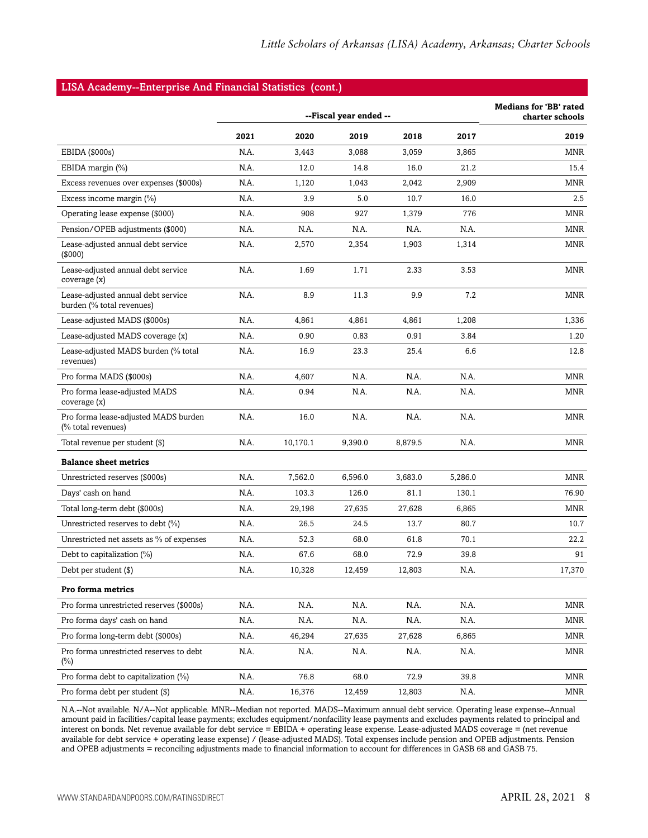#### LISA Academy--Enterprise And Financial Statistics (cont.)

|                                                                 | --Fiscal year ended -- |          |         |         |         | <b>Medians for 'BB' rated</b><br>charter schools |
|-----------------------------------------------------------------|------------------------|----------|---------|---------|---------|--------------------------------------------------|
|                                                                 | 2021                   | 2020     | 2019    | 2018    | 2017    | 2019                                             |
| EBIDA (\$000s)                                                  | N.A.                   | 3,443    | 3.088   | 3,059   | 3,865   | MNR                                              |
| EBIDA margin (%)                                                | N.A.                   | 12.0     | 14.8    | 16.0    | 21.2    | 15.4                                             |
| Excess revenues over expenses (\$000s)                          | N.A.                   | 1,120    | 1,043   | 2,042   | 2,909   | MNR                                              |
| Excess income margin $(\%)$                                     | N.A.                   | 3.9      | 5.0     | 10.7    | 16.0    | 2.5                                              |
| Operating lease expense (\$000)                                 | N.A.                   | 908      | 927     | 1,379   | 776     | MNR                                              |
| Pension/OPEB adjustments (\$000)                                | N.A.                   | N.A.     | N.A.    | N.A.    | N.A.    | <b>MNR</b>                                       |
| Lease-adjusted annual debt service<br>(\$000)                   | N.A.                   | 2,570    | 2,354   | 1,903   | 1,314   | MNR                                              |
| Lease-adjusted annual debt service<br>coverage (x)              | N.A.                   | 1.69     | 1.71    | 2.33    | 3.53    | MNR                                              |
| Lease-adjusted annual debt service<br>burden (% total revenues) | N.A.                   | 8.9      | 11.3    | 9.9     | 7.2     | <b>MNR</b>                                       |
| Lease-adjusted MADS (\$000s)                                    | N.A.                   | 4,861    | 4,861   | 4,861   | 1,208   | 1,336                                            |
| Lease-adjusted MADS coverage (x)                                | N.A.                   | 0.90     | 0.83    | 0.91    | 3.84    | 1.20                                             |
| Lease-adjusted MADS burden (% total<br>revenues)                | N.A.                   | 16.9     | 23.3    | 25.4    | 6.6     | 12.8                                             |
| Pro forma MADS (\$000s)                                         | N.A.                   | 4,607    | N.A.    | N.A.    | N.A.    | MNR                                              |
| Pro forma lease-adjusted MADS<br>coverage (x)                   | N.A.                   | 0.94     | N.A.    | N.A.    | N.A.    | MNR                                              |
| Pro forma lease-adjusted MADS burden<br>(% total revenues)      | N.A.                   | 16.0     | N.A.    | N.A.    | N.A.    | MNR                                              |
| Total revenue per student (\$)                                  | N.A.                   | 10,170.1 | 9,390.0 | 8,879.5 | N.A.    | MNR                                              |
| <b>Balance sheet metrics</b>                                    |                        |          |         |         |         |                                                  |
| Unrestricted reserves (\$000s)                                  | N.A.                   | 7,562.0  | 6,596.0 | 3,683.0 | 5,286.0 | <b>MNR</b>                                       |
| Days' cash on hand                                              | N.A.                   | 103.3    | 126.0   | 81.1    | 130.1   | 76.90                                            |
| Total long-term debt (\$000s)                                   | N.A.                   | 29,198   | 27,635  | 27,628  | 6,865   | <b>MNR</b>                                       |
| Unrestricted reserves to debt (%)                               | N.A.                   | 26.5     | 24.5    | 13.7    | 80.7    | 10.7                                             |
| Unrestricted net assets as % of expenses                        | N.A.                   | 52.3     | 68.0    | 61.8    | 70.1    | 22.2                                             |
| Debt to capitalization $(\%)$                                   | N.A.                   | 67.6     | 68.0    | 72.9    | 39.8    | 91                                               |
| Debt per student (\$)                                           | N.A.                   | 10,328   | 12,459  | 12,803  | N.A.    | 17,370                                           |
| Pro forma metrics                                               |                        |          |         |         |         |                                                  |
| Pro forma unrestricted reserves (\$000s)                        | N.A.                   | N.A.     | N.A.    | N.A.    | N.A.    | MNR                                              |
| Pro forma days' cash on hand                                    | N.A.                   | N.A.     | N.A.    | N.A.    | N.A.    | MNR                                              |
| Pro forma long-term debt (\$000s)                               | N.A.                   | 46,294   | 27,635  | 27,628  | 6,865   | MNR                                              |
| Pro forma unrestricted reserves to debt<br>$(\%)$               | N.A.                   | N.A.     | N.A.    | N.A.    | N.A.    | MNR                                              |
| Pro forma debt to capitalization (%)                            | N.A.                   | 76.8     | 68.0    | 72.9    | 39.8    | MNR                                              |
| Pro forma debt per student (\$)                                 | N.A.                   | 16,376   | 12,459  | 12,803  | N.A.    | MNR                                              |

N.A.--Not available. N/A--Not applicable. MNR--Median not reported. MADS--Maximum annual debt service. Operating lease expense--Annual amount paid in facilities/capital lease payments; excludes equipment/nonfacility lease payments and excludes payments related to principal and interest on bonds. Net revenue available for debt service = EBIDA + operating lease expense. Lease-adjusted MADS coverage = (net revenue available for debt service + operating lease expense) / (lease-adjusted MADS). Total expenses include pension and OPEB adjustments. Pension and OPEB adjustments = reconciling adjustments made to financial information to account for differences in GASB 68 and GASB 75.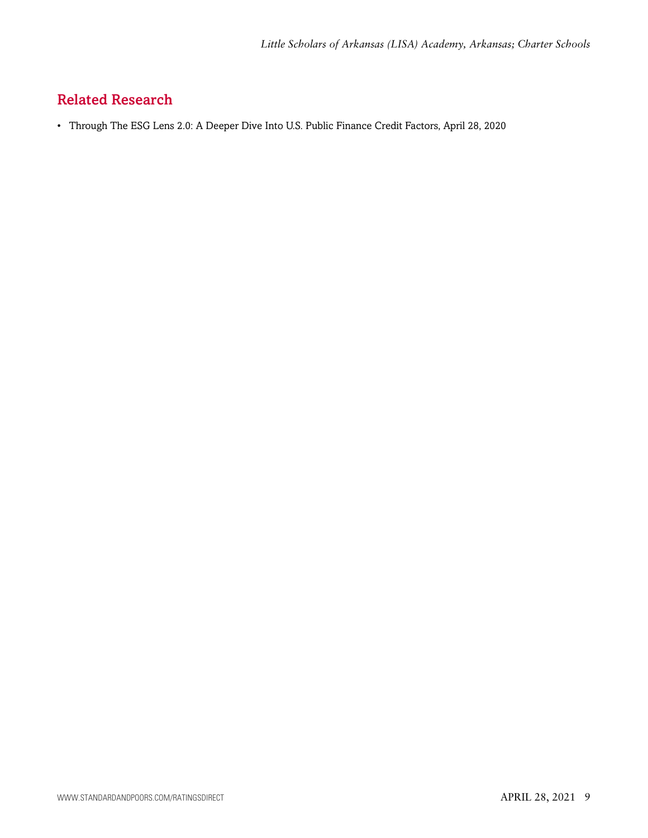# <span id="page-8-0"></span>Related Research

• Through The ESG Lens 2.0: A Deeper Dive Into U.S. Public Finance Credit Factors, April 28, 2020